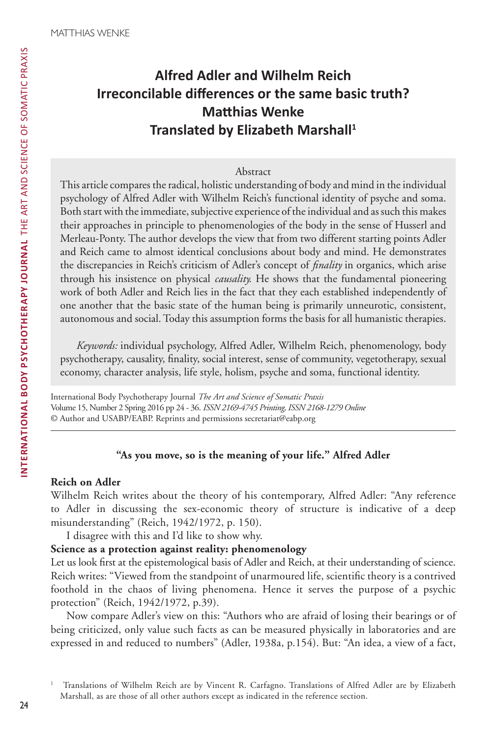# **Alfred Adler and Wilhelm Reich Irreconcilable differences or the same basic truth? Matthias Wenke Translated by Elizabeth Marshall<sup>1</sup>**

## Abstract

This article compares the radical, holistic understanding of body and mind in the individual psychology of Alfred Adler with Wilhelm Reich's functional identity of psyche and soma. Both start with the immediate, subjective experience of the individual and as such this makes their approaches in principle to phenomenologies of the body in the sense of Husserl and Merleau-Ponty. The author develops the view that from two different starting points Adler and Reich came to almost identical conclusions about body and mind. He demonstrates the discrepancies in Reich's criticism of Adler's concept of *finality* in organics, which arise through his insistence on physical *causality.* He shows that the fundamental pioneering work of both Adler and Reich lies in the fact that they each established independently of one another that the basic state of the human being is primarily unneurotic, consistent, autonomous and social. Today this assumption forms the basis for all humanistic therapies.

*Keywords:* individual psychology, Alfred Adler, Wilhelm Reich, phenomenology, body psychotherapy, causality, finality, social interest, sense of community, vegetotherapy, sexual economy, character analysis, life style, holism, psyche and soma, functional identity.

International Body Psychotherapy Journal *The Art and Science of Somatic Praxis* Volume 15, Number 2 Spring 2016 pp 24 - 36. *ISSN 2169-4745 Printing, ISSN 2168-1279 Online* © Author and USABP/EABP. Reprints and permissions secretariat@eabp.org

# **"As you move, so is the meaning of your life." Alfred Adler**

# **Reich on Adler**

Wilhelm Reich writes about the theory of his contemporary, Alfred Adler: "Any reference to Adler in discussing the sex-economic theory of structure is indicative of a deep misunderstanding" (Reich, 1942/1972, p. 150).

I disagree with this and I'd like to show why.

## **Science as a protection against reality: phenomenology**

Let us look first at the epistemological basis of Adler and Reich, at their understanding of science. Reich writes: "Viewed from the standpoint of unarmoured life, scientific theory is a contrived foothold in the chaos of living phenomena. Hence it serves the purpose of a psychic protection" (Reich, 1942/1972, p.39).

Now compare Adler's view on this: "Authors who are afraid of losing their bearings or of being criticized, only value such facts as can be measured physically in laboratories and are expressed in and reduced to numbers" (Adler, 1938a, p.154). But: "An idea, a view of a fact,

<sup>1</sup> Translations of Wilhelm Reich are by Vincent R. Carfagno. Translations of Alfred Adler are by Elizabeth Marshall, as are those of all other authors except as indicated in the reference section.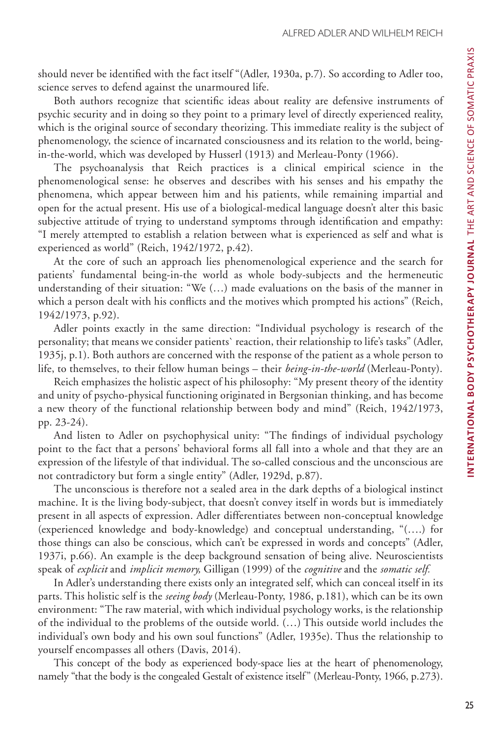should never be identified with the fact itself "(Adler, 1930a, p.7). So according to Adler too, science serves to defend against the unarmoured life.

Both authors recognize that scientific ideas about reality are defensive instruments of psychic security and in doing so they point to a primary level of directly experienced reality, which is the original source of secondary theorizing. This immediate reality is the subject of phenomenology, the science of incarnated consciousness and its relation to the world, beingin-the-world, which was developed by Husserl (1913) and Merleau-Ponty (1966).

The psychoanalysis that Reich practices is a clinical empirical science in the phenomenological sense: he observes and describes with his senses and his empathy the phenomena, which appear between him and his patients, while remaining impartial and open for the actual present. His use of a biological-medical language doesn't alter this basic subjective attitude of trying to understand symptoms through identification and empathy: "I merely attempted to establish a relation between what is experienced as self and what is experienced as world" (Reich, 1942/1972, p.42).

At the core of such an approach lies phenomenological experience and the search for patients' fundamental being-in-the world as whole body-subjects and the hermeneutic understanding of their situation: "We (…) made evaluations on the basis of the manner in which a person dealt with his conflicts and the motives which prompted his actions" (Reich, 1942/1973, p.92).

Adler points exactly in the same direction: "Individual psychology is research of the personality; that means we consider patients` reaction, their relationship to life's tasks" (Adler, 1935j, p.1). Both authors are concerned with the response of the patient as a whole person to life, to themselves, to their fellow human beings – their *being-in-the-world* (Merleau-Ponty).

Reich emphasizes the holistic aspect of his philosophy: "My present theory of the identity and unity of psycho-physical functioning originated in Bergsonian thinking, and has become a new theory of the functional relationship between body and mind" (Reich, 1942/1973, pp. 23-24).

And listen to Adler on psychophysical unity: "The findings of individual psychology point to the fact that a persons' behavioral forms all fall into a whole and that they are an expression of the lifestyle of that individual. The so-called conscious and the unconscious are not contradictory but form a single entity" (Adler, 1929d, p.87).

The unconscious is therefore not a sealed area in the dark depths of a biological instinct machine. It is the living body-subject, that doesn't convey itself in words but is immediately present in all aspects of expression. Adler differentiates between non-conceptual knowledge (experienced knowledge and body-knowledge) and conceptual understanding, "(….) for those things can also be conscious, which can't be expressed in words and concepts" (Adler, 1937i, p.66). An example is the deep background sensation of being alive. Neuroscientists speak of *explicit* and *implicit memory,* Gilligan (1999) of the *cognitive* and the *somatic self.*

In Adler's understanding there exists only an integrated self, which can conceal itself in its parts. This holistic self is the *seeing body* (Merleau-Ponty, 1986, p.181), which can be its own environment: "The raw material, with which individual psychology works, is the relationship of the individual to the problems of the outside world. (…) This outside world includes the individual's own body and his own soul functions" (Adler, 1935e). Thus the relationship to yourself encompasses all others (Davis, 2014).

This concept of the body as experienced body-space lies at the heart of phenomenology, namely "that the body is the congealed Gestalt of existence itself" (Merleau-Ponty, 1966, p.273).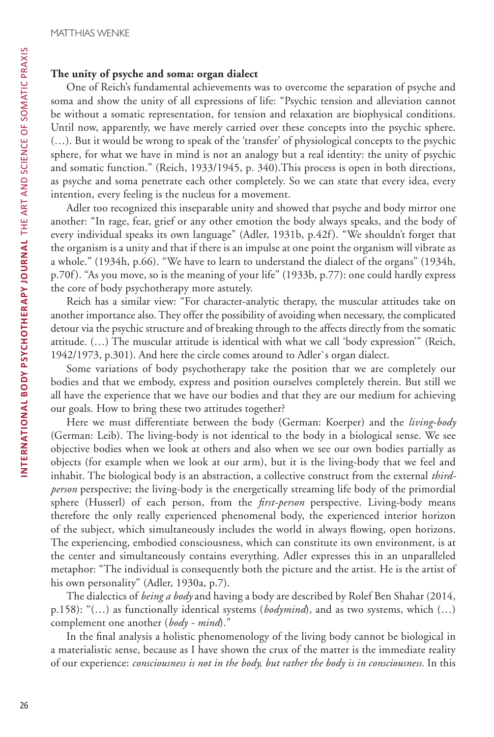# **The unity of psyche and soma: organ dialect**

One of Reich's fundamental achievements was to overcome the separation of psyche and soma and show the unity of all expressions of life: "Psychic tension and alleviation cannot be without a somatic representation, for tension and relaxation are biophysical conditions. Until now, apparently, we have merely carried over these concepts into the psychic sphere. (…). But it would be wrong to speak of the 'transfer' of physiological concepts to the psychic sphere, for what we have in mind is not an analogy but a real identity: the unity of psychic and somatic function." (Reich, 1933/1945, p. 340).This process is open in both directions, as psyche and soma penetrate each other completely. So we can state that every idea, every intention, every feeling is the nucleus for a movement.

Adler too recognized this inseparable unity and showed that psyche and body mirror one another: "In rage, fear, grief or any other emotion the body always speaks, and the body of every individual speaks its own language" (Adler, 1931b, p.42f). "We shouldn't forget that the organism is a unity and that if there is an impulse at one point the organism will vibrate as a whole." (1934h, p.66). "We have to learn to understand the dialect of the organs" (1934h, p.70f). "As you move, so is the meaning of your life" (1933b, p.77): one could hardly express the core of body psychotherapy more astutely.

Reich has a similar view: "For character-analytic therapy, the muscular attitudes take on another importance also. They offer the possibility of avoiding when necessary, the complicated detour via the psychic structure and of breaking through to the affects directly from the somatic attitude. (…) The muscular attitude is identical with what we call 'body expression'" (Reich, 1942/1973, p.301). And here the circle comes around to Adler`s organ dialect.

Some variations of body psychotherapy take the position that we are completely our bodies and that we embody, express and position ourselves completely therein. But still we all have the experience that we have our bodies and that they are our medium for achieving our goals. How to bring these two attitudes together?

Here we must differentiate between the body (German: Koerper) and the *living-body*  (German: Leib). The living-body is not identical to the body in a biological sense. We see objective bodies when we look at others and also when we see our own bodies partially as objects (for example when we look at our arm), but it is the living-body that we feel and inhabit. The biological body is an abstraction, a collective construct from the external *thirdperson* perspective; the living-body is the energetically streaming life body of the primordial sphere (Husserl) of each person, from the *first-person* perspective. Living-body means therefore the only really experienced phenomenal body, the experienced interior horizon of the subject, which simultaneously includes the world in always flowing, open horizons. The experiencing, embodied consciousness, which can constitute its own environment, is at the center and simultaneously contains everything. Adler expresses this in an unparalleled metaphor: "The individual is consequently both the picture and the artist. He is the artist of his own personality" (Adler, 1930a, p.7).

The dialectics of *being a body* and having a body are described by Rolef Ben Shahar (2014, p.158): "(…) as functionally identical systems (*bodymind*), and as two systems, which (…) complement one another (*body - mind*)."

In the final analysis a holistic phenomenology of the living body cannot be biological in a materialistic sense, because as I have shown the crux of the matter is the immediate reality of our experience: *consciousness is not in the body, but rather the body is in consciousness.* In this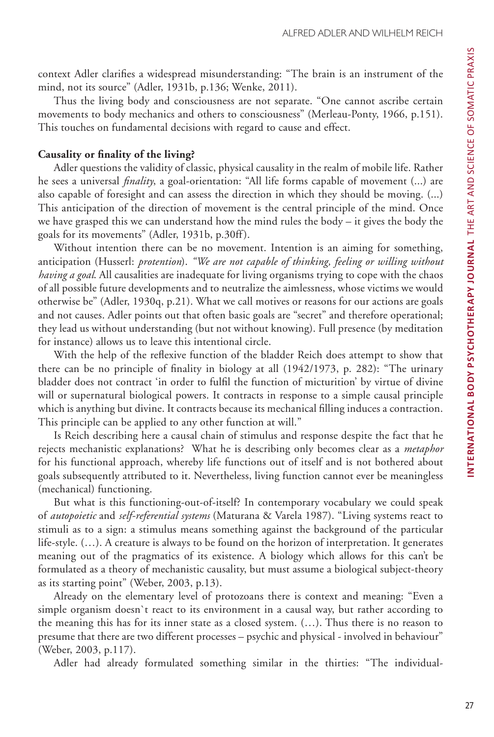context Adler clarifies a widespread misunderstanding: "The brain is an instrument of the mind, not its source" (Adler, 1931b, p.136; Wenke, 2011).

Thus the living body and consciousness are not separate. "One cannot ascribe certain movements to body mechanics and others to consciousness" (Merleau-Ponty, 1966, p.151). This touches on fundamental decisions with regard to cause and effect.

#### **Causality or finality of the living?**

Adler questions the validity of classic, physical causality in the realm of mobile life. Rather he sees a universal *finality*, a goal-orientation: "All life forms capable of movement (...) are also capable of foresight and can assess the direction in which they should be moving. (...) This anticipation of the direction of movement is the central principle of the mind. Once we have grasped this we can understand how the mind rules the body – it gives the body the goals for its movements" (Adler, 1931b, p.30ff).

Without intention there can be no movement. Intention is an aiming for something, anticipation (Husserl: *protention*). *"We are not capable of thinking, feeling or willing without having a goal*. All causalities are inadequate for living organisms trying to cope with the chaos of all possible future developments and to neutralize the aimlessness, whose victims we would otherwise be" (Adler, 1930q, p.21). What we call motives or reasons for our actions are goals and not causes. Adler points out that often basic goals are "secret" and therefore operational; they lead us without understanding (but not without knowing). Full presence (by meditation for instance) allows us to leave this intentional circle.

With the help of the reflexive function of the bladder Reich does attempt to show that there can be no principle of finality in biology at all (1942/1973, p. 282): "The urinary bladder does not contract 'in order to fulfil the function of micturition' by virtue of divine will or supernatural biological powers. It contracts in response to a simple causal principle which is anything but divine. It contracts because its mechanical filling induces a contraction. This principle can be applied to any other function at will."

Is Reich describing here a causal chain of stimulus and response despite the fact that he rejects mechanistic explanations? What he is describing only becomes clear as a *metaphor*  for his functional approach, whereby life functions out of itself and is not bothered about goals subsequently attributed to it. Nevertheless, living function cannot ever be meaningless (mechanical) functioning.

But what is this functioning-out-of-itself? In contemporary vocabulary we could speak of *autopoietic* and *self-referential systems* (Maturana & Varela 1987). "Living systems react to stimuli as to a sign: a stimulus means something against the background of the particular life-style. (…). A creature is always to be found on the horizon of interpretation. It generates meaning out of the pragmatics of its existence. A biology which allows for this can't be formulated as a theory of mechanistic causality, but must assume a biological subject-theory as its starting point" (Weber, 2003, p.13).

Already on the elementary level of protozoans there is context and meaning: "Even a simple organism doesn`t react to its environment in a causal way, but rather according to the meaning this has for its inner state as a closed system. (…). Thus there is no reason to presume that there are two different processes – psychic and physical - involved in behaviour" (Weber, 2003, p.117).

Adler had already formulated something similar in the thirties: "The individual-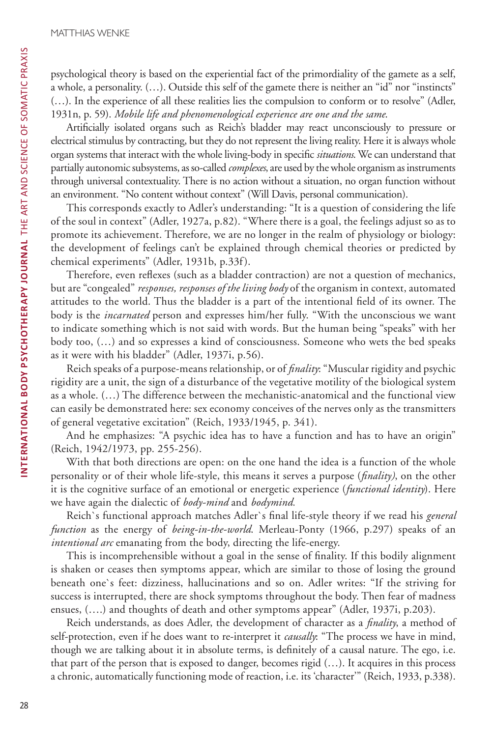psychological theory is based on the experiential fact of the primordiality of the gamete as a self, a whole, a personality. (…). Outside this self of the gamete there is neither an "id" nor "instincts" (…). In the experience of all these realities lies the compulsion to conform or to resolve" (Adler, 1931n, p. 59). *Mobile life and phenomenological experience are one and the same*.

Artificially isolated organs such as Reich's bladder may react unconsciously to pressure or electrical stimulus by contracting, but they do not represent the living reality. Here it is always whole organ systems that interact with the whole living-body in specific *situations*. We can understand that partially autonomic subsystems, as so-called *complexes*, are used by the whole organism as instruments through universal contextuality. There is no action without a situation, no organ function without an environment. "No content without context" (Will Davis, personal communication).

This corresponds exactly to Adler's understanding: "It is a question of considering the life of the soul in context" (Adler, 1927a, p.82). "Where there is a goal, the feelings adjust so as to promote its achievement. Therefore, we are no longer in the realm of physiology or biology: the development of feelings can't be explained through chemical theories or predicted by chemical experiments" (Adler, 1931b, p.33f).

Therefore, even reflexes (such as a bladder contraction) are not a question of mechanics, but are "congealed" *responses, responses of the living body* of the organism in context, automated attitudes to the world. Thus the bladder is a part of the intentional field of its owner. The body is the *incarnated* person and expresses him/her fully. "With the unconscious we want to indicate something which is not said with words. But the human being "speaks" with her body too, (…) and so expresses a kind of consciousness. Someone who wets the bed speaks as it were with his bladder" (Adler, 1937i, p.56).

Reich speaks of a purpose-means relationship, or of *finality*: "Muscular rigidity and psychic rigidity are a unit, the sign of a disturbance of the vegetative motility of the biological system as a whole. (…) The difference between the mechanistic-anatomical and the functional view can easily be demonstrated here: sex economy conceives of the nerves only as the transmitters of general vegetative excitation" (Reich, 1933/1945, p. 341).

And he emphasizes: "A psychic idea has to have a function and has to have an origin" (Reich, 1942/1973, pp. 255-256).

With that both directions are open: on the one hand the idea is a function of the whole personality or of their whole life-style, this means it serves a purpose (*finality)*, on the other it is the cognitive surface of an emotional or energetic experience (*functional identity*). Here we have again the dialectic of *body-mind* and *bodymind.*

Reich`s functional approach matches Adler`s final life-style theory if we read his *general function* as the energy of *being-in-the-world*. Merleau-Ponty (1966, p.297) speaks of an *intentional arc* emanating from the body, directing the life-energy.

This is incomprehensible without a goal in the sense of finality. If this bodily alignment is shaken or ceases then symptoms appear, which are similar to those of losing the ground beneath one`s feet: dizziness, hallucinations and so on. Adler writes: "If the striving for success is interrupted, there are shock symptoms throughout the body. Then fear of madness ensues, (….) and thoughts of death and other symptoms appear" (Adler, 1937i, p.203).

Reich understands, as does Adler, the development of character as a *finality*, a method of self-protection, even if he does want to re-interpret it *causally*: "The process we have in mind, though we are talking about it in absolute terms, is definitely of a causal nature. The ego, i.e. that part of the person that is exposed to danger, becomes rigid (…). It acquires in this process a chronic, automatically functioning mode of reaction, i.e. its 'character'" (Reich, 1933, p.338).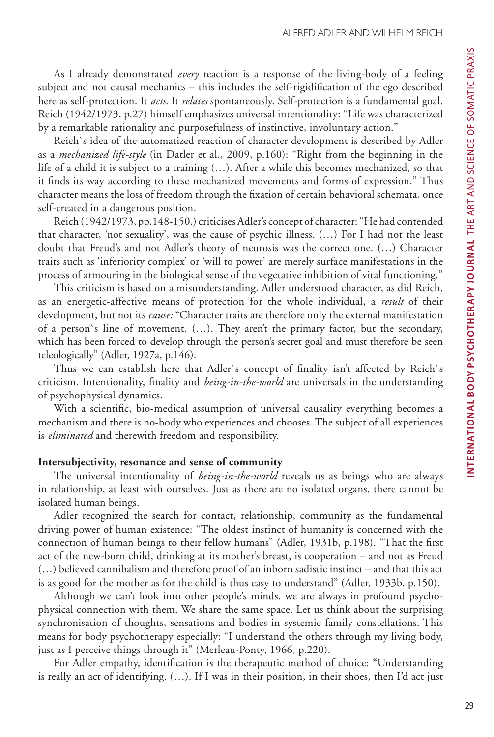As I already demonstrated *every* reaction is a response of the living-body of a feeling subject and not causal mechanics – this includes the self-rigidification of the ego described here as self-protection. It *acts*. It *relates* spontaneously. Self-protection is a fundamental goal. Reich (1942/1973, p.27) himself emphasizes universal intentionality: "Life was characterized by a remarkable rationality and purposefulness of instinctive, involuntary action."

Reich`s idea of the automatized reaction of character development is described by Adler as a *mechanized life-style* (in Datler et al., 2009, p.160): "Right from the beginning in the life of a child it is subject to a training (…). After a while this becomes mechanized, so that it finds its way according to these mechanized movements and forms of expression." Thus character means the loss of freedom through the fixation of certain behavioral schemata, once self-created in a dangerous position.

Reich (1942/1973, pp.148-150.) criticises Adler's concept of character: "He had contended that character, 'not sexuality', was the cause of psychic illness. (…) For I had not the least doubt that Freud's and not Adler's theory of neurosis was the correct one. (…) Character traits such as 'inferiority complex' or 'will to power' are merely surface manifestations in the process of armouring in the biological sense of the vegetative inhibition of vital functioning."

This criticism is based on a misunderstanding. Adler understood character, as did Reich, as an energetic-affective means of protection for the whole individual, a *result* of their development, but not its *cause:* "Character traits are therefore only the external manifestation of a person`s line of movement. (…). They aren't the primary factor, but the secondary, which has been forced to develop through the person's secret goal and must therefore be seen teleologically" (Adler, 1927a, p.146).

Thus we can establish here that Adler`s concept of finality isn't affected by Reich`s criticism. Intentionality, finality and *being-in-the-world* are universals in the understanding of psychophysical dynamics.

With a scientific, bio-medical assumption of universal causality everything becomes a mechanism and there is no-body who experiences and chooses. The subject of all experiences is *eliminated* and therewith freedom and responsibility.

## **Intersubjectivity, resonance and sense of community**

The universal intentionality of *being-in-the-world* reveals us as beings who are always in relationship, at least with ourselves. Just as there are no isolated organs, there cannot be isolated human beings.

Adler recognized the search for contact, relationship, community as the fundamental driving power of human existence: "The oldest instinct of humanity is concerned with the connection of human beings to their fellow humans" (Adler, 1931b, p.198). "That the first act of the new-born child, drinking at its mother's breast, is cooperation – and not as Freud (…) believed cannibalism and therefore proof of an inborn sadistic instinct – and that this act is as good for the mother as for the child is thus easy to understand" (Adler, 1933b, p.150).

Although we can't look into other people's minds, we are always in profound psychophysical connection with them. We share the same space. Let us think about the surprising synchronisation of thoughts, sensations and bodies in systemic family constellations. This means for body psychotherapy especially: "I understand the others through my living body, just as I perceive things through it" (Merleau-Ponty, 1966, p.220).

For Adler empathy, identification is the therapeutic method of choice: "Understanding is really an act of identifying. (…). If I was in their position, in their shoes, then I'd act just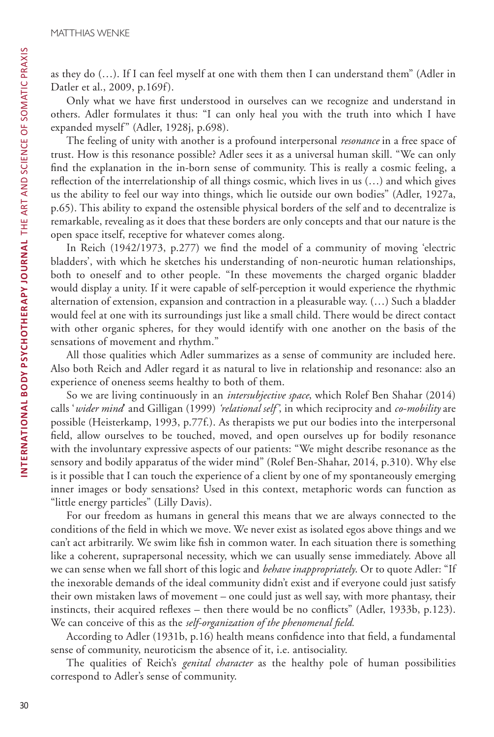as they do (…). If I can feel myself at one with them then I can understand them" (Adler in Datler et al., 2009, p.169f).

Only what we have first understood in ourselves can we recognize and understand in others. Adler formulates it thus: "I can only heal you with the truth into which I have expanded myself" (Adler, 1928j, p.698).

The feeling of unity with another is a profound interpersonal *resonance* in a free space of trust. How is this resonance possible? Adler sees it as a universal human skill. "We can only find the explanation in the in-born sense of community. This is really a cosmic feeling, a reflection of the interrelationship of all things cosmic, which lives in us (…) and which gives us the ability to feel our way into things, which lie outside our own bodies" (Adler, 1927a, p.65). This ability to expand the ostensible physical borders of the self and to decentralize is remarkable, revealing as it does that these borders are only concepts and that our nature is the open space itself, receptive for whatever comes along.

In Reich (1942/1973, p.277) we find the model of a community of moving 'electric bladders', with which he sketches his understanding of non-neurotic human relationships, both to oneself and to other people. "In these movements the charged organic bladder would display a unity. If it were capable of self-perception it would experience the rhythmic alternation of extension, expansion and contraction in a pleasurable way. (…) Such a bladder would feel at one with its surroundings just like a small child. There would be direct contact with other organic spheres, for they would identify with one another on the basis of the sensations of movement and rhythm."

All those qualities which Adler summarizes as a sense of community are included here. Also both Reich and Adler regard it as natural to live in relationship and resonance: also an experience of oneness seems healthy to both of them.

So we are living continuously in an *intersubjective space*, which Rolef Ben Shahar (2014) calls '*wider mind*' and Gilligan (1999) *'relational self'*, in which reciprocity and *co-mobility* are possible (Heisterkamp, 1993, p.77f.). As therapists we put our bodies into the interpersonal field, allow ourselves to be touched, moved, and open ourselves up for bodily resonance with the involuntary expressive aspects of our patients: "We might describe resonance as the sensory and bodily apparatus of the wider mind" (Rolef Ben-Shahar, 2014, p.310). Why else is it possible that I can touch the experience of a client by one of my spontaneously emerging inner images or body sensations? Used in this context, metaphoric words can function as "little energy particles" (Lilly Davis).

For our freedom as humans in general this means that we are always connected to the conditions of the field in which we move. We never exist as isolated egos above things and we can't act arbitrarily. We swim like fish in common water. In each situation there is something like a coherent, suprapersonal necessity, which we can usually sense immediately. Above all we can sense when we fall short of this logic and *behave inappropriately*. Or to quote Adler: "If the inexorable demands of the ideal community didn't exist and if everyone could just satisfy their own mistaken laws of movement – one could just as well say, with more phantasy, their instincts, their acquired reflexes – then there would be no conflicts" (Adler, 1933b, p.123). We can conceive of this as the *self-organization of the phenomenal field.*

According to Adler (1931b, p.16) health means confidence into that field, a fundamental sense of community, neuroticism the absence of it, i.e. antisociality.

The qualities of Reich's *genital character* as the healthy pole of human possibilities correspond to Adler's sense of community.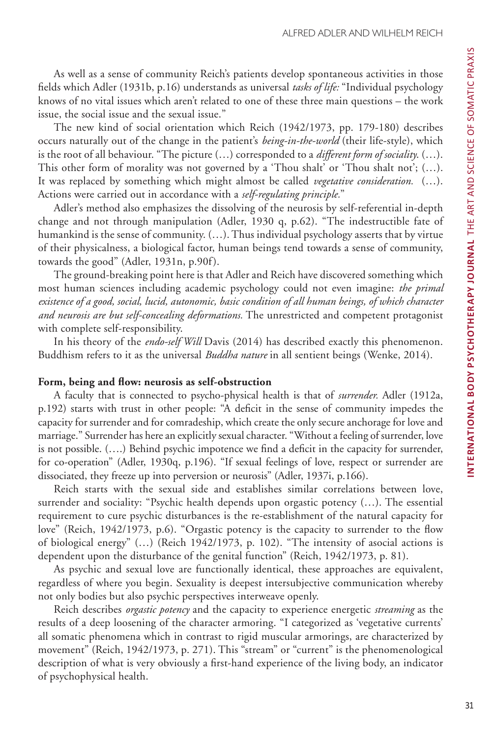As well as a sense of community Reich's patients develop spontaneous activities in those fields which Adler (1931b, p.16) understands as universal *tasks of life:* "Individual psychology knows of no vital issues which aren't related to one of these three main questions – the work issue, the social issue and the sexual issue."

The new kind of social orientation which Reich (1942/1973, pp. 179-180) describes occurs naturally out of the change in the patient's *being-in-the-world* (their life-style), which is the root of all behaviour. "The picture (…) corresponded to a *different form of sociality*. (…). This other form of morality was not governed by a 'Thou shalt' or 'Thou shalt not';  $(...).$ It was replaced by something which might almost be called *vegetative consideration.* (…). Actions were carried out in accordance with a *self-regulating principle.*"

Adler's method also emphasizes the dissolving of the neurosis by self-referential in-depth change and not through manipulation (Adler, 1930 q, p.62). "The indestructible fate of humankind is the sense of community. (…). Thus individual psychology asserts that by virtue of their physicalness, a biological factor, human beings tend towards a sense of community, towards the good" (Adler, 1931n, p.90f).

The ground-breaking point here is that Adler and Reich have discovered something which most human sciences including academic psychology could not even imagine: *the primal existence of a good, social, lucid, autonomic, basic condition of all human beings, of which character and neurosis are but self-concealing deformations.* The unrestricted and competent protagonist with complete self-responsibility.

In his theory of the *endo-self Will* Davis (2014) has described exactly this phenomenon. Buddhism refers to it as the universal *Buddha nature* in all sentient beings (Wenke, 2014).

## **Form, being and flow: neurosis as self-obstruction**

A faculty that is connected to psycho-physical health is that of *surrender.* Adler (1912a, p.192) starts with trust in other people: "A deficit in the sense of community impedes the capacity for surrender and for comradeship, which create the only secure anchorage for love and marriage." Surrender has here an explicitly sexual character. "Without a feeling of surrender, love is not possible. (….) Behind psychic impotence we find a deficit in the capacity for surrender, for co-operation" (Adler, 1930q, p.196). "If sexual feelings of love, respect or surrender are dissociated, they freeze up into perversion or neurosis" (Adler, 1937i, p.166).

Reich starts with the sexual side and establishes similar correlations between love, surrender and sociality: "Psychic health depends upon orgastic potency (…). The essential requirement to cure psychic disturbances is the re-establishment of the natural capacity for love" (Reich, 1942/1973, p.6). "Orgastic potency is the capacity to surrender to the flow of biological energy" (…) (Reich 1942/1973, p. 102). "The intensity of asocial actions is dependent upon the disturbance of the genital function" (Reich, 1942/1973, p. 81).

As psychic and sexual love are functionally identical, these approaches are equivalent, regardless of where you begin. Sexuality is deepest intersubjective communication whereby not only bodies but also psychic perspectives interweave openly.

Reich describes *orgastic potency* and the capacity to experience energetic *streaming* as the results of a deep loosening of the character armoring. "I categorized as 'vegetative currents' all somatic phenomena which in contrast to rigid muscular armorings, are characterized by movement" (Reich, 1942/1973, p. 271). This "stream" or "current" is the phenomenological description of what is very obviously a first-hand experience of the living body, an indicator of psychophysical health.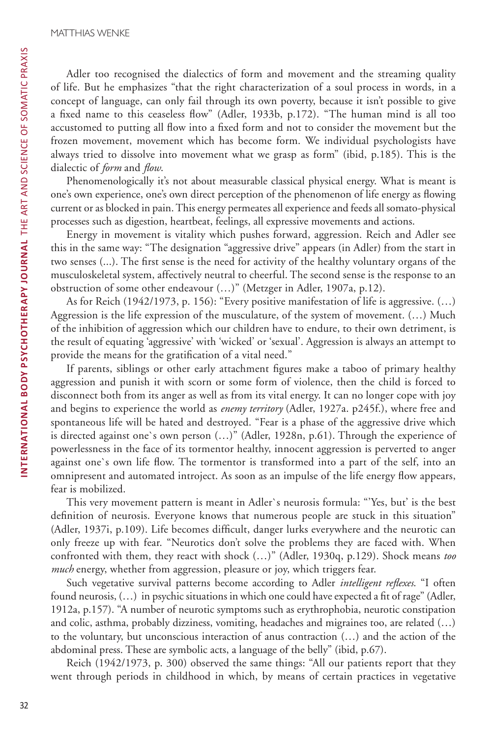Adler too recognised the dialectics of form and movement and the streaming quality of life. But he emphasizes "that the right characterization of a soul process in words, in a concept of language, can only fail through its own poverty, because it isn't possible to give a fixed name to this ceaseless flow" (Adler, 1933b, p.172). "The human mind is all too accustomed to putting all flow into a fixed form and not to consider the movement but the frozen movement, movement which has become form. We individual psychologists have always tried to dissolve into movement what we grasp as form" (ibid, p.185). This is the dialectic of *form* and *flow*.

Phenomenologically it's not about measurable classical physical energy. What is meant is one's own experience, one's own direct perception of the phenomenon of life energy as flowing current or as blocked in pain. This energy permeates all experience and feeds all somato-physical processes such as digestion, heartbeat, feelings, all expressive movements and actions.

Energy in movement is vitality which pushes forward, aggression. Reich and Adler see this in the same way: "The designation "aggressive drive" appears (in Adler) from the start in two senses (...). The first sense is the need for activity of the healthy voluntary organs of the musculoskeletal system, affectively neutral to cheerful. The second sense is the response to an obstruction of some other endeavour (…)" (Metzger in Adler, 1907a, p.12).

As for Reich (1942/1973, p. 156): "Every positive manifestation of life is aggressive. (…) Aggression is the life expression of the musculature, of the system of movement. (…) Much of the inhibition of aggression which our children have to endure, to their own detriment, is the result of equating 'aggressive' with 'wicked' or 'sexual'. Aggression is always an attempt to provide the means for the gratification of a vital need."

If parents, siblings or other early attachment figures make a taboo of primary healthy aggression and punish it with scorn or some form of violence, then the child is forced to disconnect both from its anger as well as from its vital energy. It can no longer cope with joy and begins to experience the world as *enemy territory* (Adler, 1927a. p245f.), where free and spontaneous life will be hated and destroyed. "Fear is a phase of the aggressive drive which is directed against one`s own person (…)" (Adler, 1928n, p.61). Through the experience of powerlessness in the face of its tormentor healthy, innocent aggression is perverted to anger against one`s own life flow. The tormentor is transformed into a part of the self, into an omnipresent and automated introject. As soon as an impulse of the life energy flow appears, fear is mobilized.

This very movement pattern is meant in Adler`s neurosis formula: "'Yes, but' is the best definition of neurosis. Everyone knows that numerous people are stuck in this situation" (Adler, 1937i, p.109). Life becomes difficult, danger lurks everywhere and the neurotic can only freeze up with fear. "Neurotics don't solve the problems they are faced with. When confronted with them, they react with shock (…)" (Adler, 1930q, p.129). Shock means *too much* energy, whether from aggression, pleasure or joy, which triggers fear.

Such vegetative survival patterns become according to Adler *intelligent reflexes*. "I often found neurosis, (…) in psychic situations in which one could have expected a fit of rage" (Adler, 1912a, p.157). "A number of neurotic symptoms such as erythrophobia, neurotic constipation and colic, asthma, probably dizziness, vomiting, headaches and migraines too, are related (…) to the voluntary, but unconscious interaction of anus contraction (…) and the action of the abdominal press. These are symbolic acts, a language of the belly" (ibid, p.67).

Reich (1942/1973, p. 300) observed the same things: "All our patients report that they went through periods in childhood in which, by means of certain practices in vegetative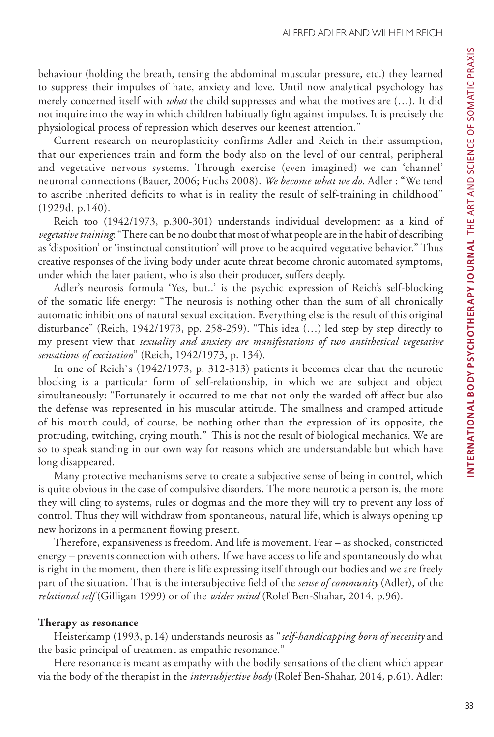behaviour (holding the breath, tensing the abdominal muscular pressure, etc.) they learned to suppress their impulses of hate, anxiety and love. Until now analytical psychology has merely concerned itself with *what* the child suppresses and what the motives are (…). It did not inquire into the way in which children habitually fight against impulses. It is precisely the physiological process of repression which deserves our keenest attention."

Current research on neuroplasticity confirms Adler and Reich in their assumption, that our experiences train and form the body also on the level of our central, peripheral and vegetative nervous systems. Through exercise (even imagined) we can 'channel' neuronal connections (Bauer, 2006; Fuchs 2008). *We become what we do*. Adler : "We tend to ascribe inherited deficits to what is in reality the result of self-training in childhood" (1929d, p.140).

Reich too (1942/1973, p.300-301) understands individual development as a kind of *vegetative training*: "There can be no doubt that most of what people are in the habit of describing as 'disposition' or 'instinctual constitution' will prove to be acquired vegetative behavior." Thus creative responses of the living body under acute threat become chronic automated symptoms, under which the later patient, who is also their producer, suffers deeply.

Adler's neurosis formula 'Yes, but..' is the psychic expression of Reich's self-blocking of the somatic life energy: "The neurosis is nothing other than the sum of all chronically automatic inhibitions of natural sexual excitation. Everything else is the result of this original disturbance" (Reich, 1942/1973, pp. 258-259). "This idea (…) led step by step directly to my present view that *sexuality and anxiety are manifestations of two antithetical vegetative sensations of excitation*" (Reich, 1942/1973, p. 134).

In one of Reich`s (1942/1973, p. 312-313) patients it becomes clear that the neurotic blocking is a particular form of self-relationship, in which we are subject and object simultaneously: "Fortunately it occurred to me that not only the warded off affect but also the defense was represented in his muscular attitude. The smallness and cramped attitude of his mouth could, of course, be nothing other than the expression of its opposite, the protruding, twitching, crying mouth." This is not the result of biological mechanics. We are so to speak standing in our own way for reasons which are understandable but which have long disappeared.

Many protective mechanisms serve to create a subjective sense of being in control, which is quite obvious in the case of compulsive disorders. The more neurotic a person is, the more they will cling to systems, rules or dogmas and the more they will try to prevent any loss of control. Thus they will withdraw from spontaneous, natural life, which is always opening up new horizons in a permanent flowing present.

Therefore, expansiveness is freedom. And life is movement. Fear – as shocked, constricted energy – prevents connection with others. If we have access to life and spontaneously do what is right in the moment, then there is life expressing itself through our bodies and we are freely part of the situation. That is the intersubjective field of the *sense of community* (Adler), of the *relational self* (Gilligan 1999) or of the *wider mind* (Rolef Ben-Shahar, 2014, p.96).

#### **Therapy as resonance**

Heisterkamp (1993, p.14) understands neurosis as "*self-handicapping born of necessity* and the basic principal of treatment as empathic resonance."

Here resonance is meant as empathy with the bodily sensations of the client which appear via the body of the therapist in the *intersubjective body* (Rolef Ben-Shahar, 2014, p.61). Adler: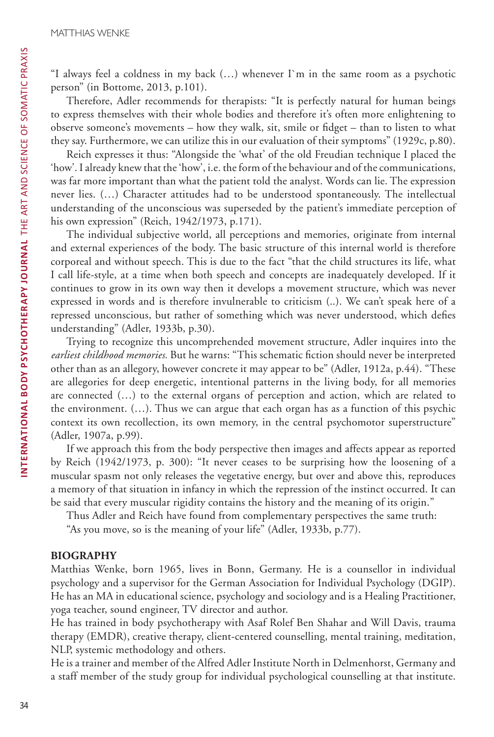"I always feel a coldness in my back (…) whenever I`m in the same room as a psychotic person" (in Bottome, 2013, p.101).

Therefore, Adler recommends for therapists: "It is perfectly natural for human beings to express themselves with their whole bodies and therefore it's often more enlightening to observe someone's movements – how they walk, sit, smile or fidget – than to listen to what they say. Furthermore, we can utilize this in our evaluation of their symptoms" (1929c, p.80).

Reich expresses it thus: "Alongside the 'what' of the old Freudian technique I placed the 'how'. I already knew that the 'how', i.e. the form of the behaviour and of the communications, was far more important than what the patient told the analyst. Words can lie. The expression never lies. (…) Character attitudes had to be understood spontaneously. The intellectual understanding of the unconscious was superseded by the patient's immediate perception of his own expression" (Reich, 1942/1973, p.171).

The individual subjective world, all perceptions and memories, originate from internal and external experiences of the body. The basic structure of this internal world is therefore corporeal and without speech. This is due to the fact "that the child structures its life, what I call life-style, at a time when both speech and concepts are inadequately developed. If it continues to grow in its own way then it develops a movement structure, which was never expressed in words and is therefore invulnerable to criticism (..). We can't speak here of a repressed unconscious, but rather of something which was never understood, which defies understanding" (Adler, 1933b, p.30).

Trying to recognize this uncomprehended movement structure, Adler inquires into the *earliest childhood memories.* But he warns: "This schematic fiction should never be interpreted other than as an allegory, however concrete it may appear to be" (Adler, 1912a, p.44). "These are allegories for deep energetic, intentional patterns in the living body, for all memories are connected (…) to the external organs of perception and action, which are related to the environment. (…). Thus we can argue that each organ has as a function of this psychic context its own recollection, its own memory, in the central psychomotor superstructure" (Adler, 1907a, p.99).

If we approach this from the body perspective then images and affects appear as reported by Reich (1942/1973, p. 300): "It never ceases to be surprising how the loosening of a muscular spasm not only releases the vegetative energy, but over and above this, reproduces a memory of that situation in infancy in which the repression of the instinct occurred. It can be said that every muscular rigidity contains the history and the meaning of its origin."

Thus Adler and Reich have found from complementary perspectives the same truth:

"As you move, so is the meaning of your life" (Adler, 1933b, p.77).

## **BIOGRAPHY**

Matthias Wenke, born 1965, lives in Bonn, Germany. He is a counsellor in individual psychology and a supervisor for the German Association for Individual Psychology (DGIP). He has an MA in educational science, psychology and sociology and is a Healing Practitioner, yoga teacher, sound engineer, TV director and author.

He has trained in body psychotherapy with Asaf Rolef Ben Shahar and Will Davis, trauma therapy (EMDR), creative therapy, client-centered counselling, mental training, meditation, NLP, systemic methodology and others.

He is a trainer and member of the Alfred Adler Institute North in Delmenhorst, Germany and a staff member of the study group for individual psychological counselling at that institute.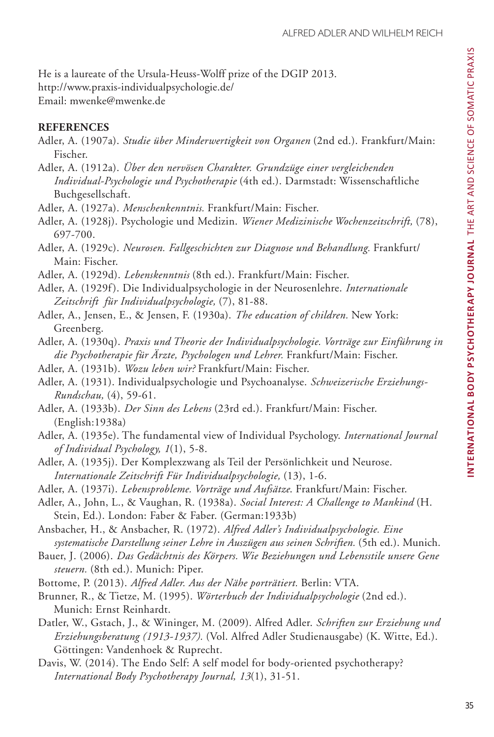He is a laureate of the Ursula-Heuss-Wolff prize of the DGIP 2013. http://www.praxis-individualpsychologie.de/ Email: mwenke@mwenke.de

# **REFERENCES**

- Adler, A. (1907a). *Studie über Minderwertigkeit von Organen* (2nd ed.). Frankfurt/Main: Fischer.
- Adler, A. (1912a). *Über den nervösen Charakter. Grundzüge einer vergleichenden Individual-Psychologie und Psychotherapie* (4th ed.). Darmstadt: Wissenschaftliche Buchgesellschaft.
- Adler, A. (1927a). *Menschenkenntnis.* Frankfurt/Main: Fischer.
- Adler, A. (1928j). Psychologie und Medizin. *Wiener Medizinische Wochenzeitschrift,* (78), 697-700.
- Adler, A. (1929c). *Neurosen. Fallgeschichten zur Diagnose und Behandlung.* Frankfurt/ Main: Fischer.
- Adler, A. (1929d). *Lebenskenntnis* (8th ed.). Frankfurt/Main: Fischer.
- Adler, A. (1929f ). Die Individualpsychologie in der Neurosenlehre. *Internationale Zeitschrift für Individualpsychologie,* (7), 81-88.
- Adler, A., Jensen, E., & Jensen, F. (1930a). *The education of children.* New York: Greenberg.
- Adler, A. (1930q). *Praxis und Theorie der Individualpsychologie. Vorträge zur Einführung in die Psychotherapie für Ärzte, Psychologen und Lehrer.* Frankfurt/Main: Fischer.
- Adler, A. (1931b). *Wozu leben wir?* Frankfurt/Main: Fischer.
- Adler, A. (1931). Individualpsychologie und Psychoanalyse. *Schweizerische Erziehungs-Rundschau,* (4), 59-61.
- Adler, A. (1933b). *Der Sinn des Lebens* (23rd ed.). Frankfurt/Main: Fischer. (English:1938a)
- Adler, A. (1935e). The fundamental view of Individual Psychology. *International Journal of Individual Psychology, 1*(1), 5-8.
- Adler, A. (1935j). Der Komplexzwang als Teil der Persönlichkeit und Neurose. *Internationale Zeitschrift Für Individualpsychologie,* (13), 1-6.
- Adler, A. (1937i). *Lebensprobleme. Vorträge und Aufsätze*. Frankfurt/Main: Fischer.
- Adler, A., John, L., & Vaughan, R. (1938a). *Social Interest: A Challenge to Mankind* (H. Stein, Ed.). London: Faber & Faber. (German:1933b)
- Ansbacher, H., & Ansbacher, R. (1972). *Alfred Adler's Individualpsychologie. Eine systematische Darstellung seiner Lehre in Auszügen aus seinen Schriften.* (5th ed.). Munich.
- Bauer, J. (2006). *Das Gedächtnis des Körpers. Wie Beziehungen und Lebensstile unsere Gene steuern.* (8th ed.). Munich: Piper.
- Bottome, P. (2013). *Alfred Adler. Aus der Nähe porträtiert.* Berlin: VTA.
- Brunner, R., & Tietze, M. (1995). *Wörterbuch der Individualpsychologie* (2nd ed.). Munich: Ernst Reinhardt.
- Datler, W., Gstach, J., & Wininger, M. (2009). Alfred Adler. *Schriften zur Erziehung und Erziehungsberatung (1913-1937).* (Vol. Alfred Adler Studienausgabe) (K. Witte, Ed.). Göttingen: Vandenhoek & Ruprecht.
- Davis, W. (2014). The Endo Self: A self model for body-oriented psychotherapy? *International Body Psychotherapy Journal, 13*(1), 31-51.